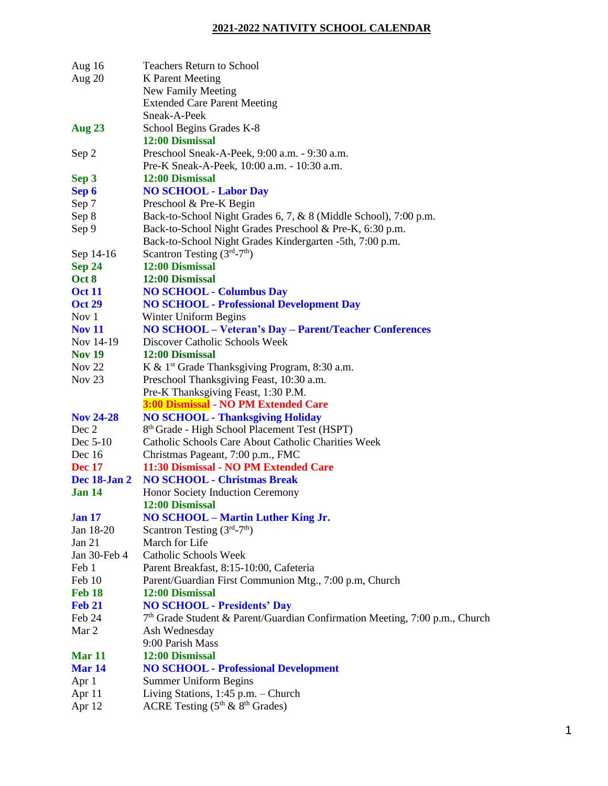# **2021-2022 NATIVITY SCHOOL CALENDAR**

| Aug $16$            | <b>Teachers Return to School</b>                                                        |  |  |
|---------------------|-----------------------------------------------------------------------------------------|--|--|
| Aug 20              | K Parent Meeting                                                                        |  |  |
|                     | New Family Meeting                                                                      |  |  |
|                     | <b>Extended Care Parent Meeting</b>                                                     |  |  |
|                     | Sneak-A-Peek                                                                            |  |  |
| <b>Aug 23</b>       | School Begins Grades K-8                                                                |  |  |
|                     | 12:00 Dismissal                                                                         |  |  |
| Sep 2               | Preschool Sneak-A-Peek, 9:00 a.m. - 9:30 a.m.                                           |  |  |
|                     | Pre-K Sneak-A-Peek, 10:00 a.m. - 10:30 a.m.                                             |  |  |
| Sep 3               | 12:00 Dismissal                                                                         |  |  |
| Sep 6               | <b>NO SCHOOL - Labor Day</b>                                                            |  |  |
| Sep 7               | Preschool & Pre-K Begin                                                                 |  |  |
| Sep 8               | Back-to-School Night Grades 6, 7, & 8 (Middle School), 7:00 p.m.                        |  |  |
| Sep 9               | Back-to-School Night Grades Preschool & Pre-K, 6:30 p.m.                                |  |  |
|                     | Back-to-School Night Grades Kindergarten -5th, 7:00 p.m.                                |  |  |
| Sep 14-16           | Scantron Testing $(3rd-7th)$                                                            |  |  |
| <b>Sep 24</b>       | 12:00 Dismissal                                                                         |  |  |
| Oct 8               | 12:00 Dismissal                                                                         |  |  |
| <b>Oct 11</b>       | <b>NO SCHOOL - Columbus Day</b>                                                         |  |  |
| <b>Oct 29</b>       | <b>NO SCHOOL - Professional Development Day</b>                                         |  |  |
| Nov 1               | Winter Uniform Begins                                                                   |  |  |
| <b>Nov 11</b>       | NO SCHOOL - Veteran's Day - Parent/Teacher Conferences                                  |  |  |
| Nov 14-19           | Discover Catholic Schools Week                                                          |  |  |
| <b>Nov 19</b>       | 12:00 Dismissal                                                                         |  |  |
| Nov $22$            | K & 1 <sup>st</sup> Grade Thanksgiving Program, 8:30 a.m.                               |  |  |
| Nov $23$            | Preschool Thanksgiving Feast, 10:30 a.m.                                                |  |  |
|                     | Pre-K Thanksgiving Feast, 1:30 P.M.                                                     |  |  |
|                     | 3:00 Dismissal - NO PM Extended Care                                                    |  |  |
| <b>Nov 24-28</b>    | <b>NO SCHOOL - Thanksgiving Holiday</b>                                                 |  |  |
| Dec 2               | 8 <sup>th</sup> Grade - High School Placement Test (HSPT)                               |  |  |
| Dec 5-10            | Catholic Schools Care About Catholic Charities Week                                     |  |  |
| Dec $16$            | Christmas Pageant, 7:00 p.m., FMC                                                       |  |  |
| <b>Dec</b> 17       | 11:30 Dismissal - NO PM Extended Care                                                   |  |  |
| <b>Dec 18-Jan 2</b> | <b>NO SCHOOL - Christmas Break</b>                                                      |  |  |
| <b>Jan 14</b>       | Honor Society Induction Ceremony                                                        |  |  |
|                     | 12:00 Dismissal                                                                         |  |  |
| <b>Jan 17</b>       | NO SCHOOL - Martin Luther King Jr.                                                      |  |  |
| Jan 18-20           | Scantron Testing $(3rd-7th)$                                                            |  |  |
| Jan 21              | March for Life                                                                          |  |  |
| Jan 30-Feb 4        | <b>Catholic Schools Week</b>                                                            |  |  |
| Feb 1               | Parent Breakfast, 8:15-10:00, Cafeteria                                                 |  |  |
| Feb 10              | Parent/Guardian First Communion Mtg., 7:00 p.m, Church                                  |  |  |
| Feb 18              | 12:00 Dismissal                                                                         |  |  |
| <b>Feb 21</b>       | <b>NO SCHOOL - Presidents' Day</b>                                                      |  |  |
| Feb 24              | 7 <sup>th</sup> Grade Student & Parent/Guardian Confirmation Meeting, 7:00 p.m., Church |  |  |
| Mar 2               | Ash Wednesday                                                                           |  |  |
|                     | 9:00 Parish Mass                                                                        |  |  |
| <b>Mar 11</b>       | 12:00 Dismissal                                                                         |  |  |
| <b>Mar 14</b>       | <b>NO SCHOOL - Professional Development</b>                                             |  |  |
| Apr 1               | <b>Summer Uniform Begins</b>                                                            |  |  |
| Apr 11              | Living Stations, $1:45$ p.m. - Church                                                   |  |  |
| Apr 12              | ACRE Testing $(5th \& 8th Grades)$                                                      |  |  |